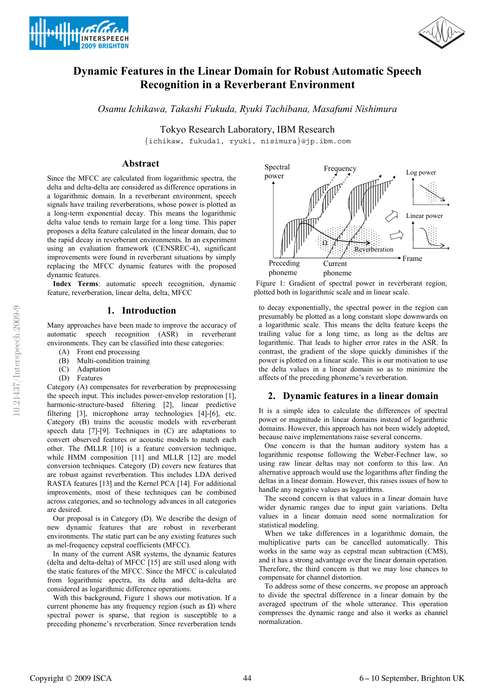



# **Dynamic Features in the Linear Domain for Robust Automatic Speech Recognition in a Reverberant Environment**

*Osamu Ichikawa, Takashi Fukuda, Ryuki Tachibana, Masafumi Nishimura*

Tokyo Research Laboratory, IBM Research

{ichikaw, fukuda1, ryuki, nisimura}@jp.ibm.com

### **Abstract**

Since the MFCC are calculated from logarithmic spectra, the delta and delta-delta are considered as difference operations in a logarithmic domain. In a reverberant environment, speech signals have trailing reverberations, whose power is plotted as a long-term exponential decay. This means the logarithmic delta value tends to remain large for a long time. This paper proposes a delta feature calculated in the linear domain, due to the rapid decay in reverberant environments. In an experiment using an evaluation framework (CENSREC-4), significant improvements were found in reverberant situations by simply replacing the MFCC dynamic features with the proposed dynamic features.

**Index Terms**: automatic speech recognition, dynamic feature, reverberation, linear delta, delta, MFCC

# **1. Introduction**

Many approaches have been made to improve the accuracy of automatic speech recognition (ASR) in reverberant environments. They can be classified into these categories:

- (A) Front end processing
- (B) Multi-condition training
- (C) Adaptation
- (D) Features

Category (A) compensates for reverberation by preprocessing the speech input. This includes power-envelop restoration [1], harmonic-structure-based filtering [2], linear predictive filtering [3], microphone array technologies [4]-[6], etc. Category (B) trains the acoustic models with reverberant speech data [7]-[9]. Techniques in (C) are adaptations to convert observed features or acoustic models to match each other. The fMLLR [10] is a feature conversion technique, while HMM composition [11] and MLLR [12] are model conversion techniques. Category (D) covers new features that are robust against reverberation. This includes LDA derived RASTA features [13] and the Kernel PCA [14]. For additional improvements, most of these techniques can be combined across categories, and so technology advances in all categories are desired.

Our proposal is in Category (D). We describe the design of new dynamic features that are robust in reverberant environments. The static part can be any existing features such as mel-frequency cepstral coefficients (MFCC).

In many of the current ASR systems, the dynamic features (delta and delta-delta) of MFCC [15] are still used along with the static features of the MFCC. Since the MFCC is calculated from logarithmic spectra, its delta and delta-delta are considered as logarithmic difference operations.

With this background, Figure 1 shows our motivation. If a current phoneme has any frequency region (such as  $\Omega$ ) where spectral power is sparse, that region is susceptible to a preceding phoneme's reverberation. Since reverberation tends



 Figure 1: Gradient of spectral power in reverberant region, plotted both in logarithmic scale and in linear scale.

to decay exponentially, the spectral power in the region can presumably be plotted as a long constant slope downwards on a logarithmic scale. This means the delta feature keeps the trailing value for a long time, as long as the deltas are logarithmic. That leads to higher error rates in the ASR. In contrast, the gradient of the slope quickly diminishes if the power is plotted on a linear scale. This is our motivation to use the delta values in a linear domain so as to minimize the affects of the preceding phoneme's reverberation.

### **2. Dynamic features in a linear domain**

It is a simple idea to calculate the differences of spectral power or magnitude in linear domains instead of logarithmic domains. However, this approach has not been widely adopted, because naive implementations raise several concerns.

One concern is that the human auditory system has a logarithmic response following the Weber-Fechner law, so using raw linear deltas may not conform to this law. An alternative approach would use the logarithms after finding the deltas in a linear domain. However, this raises issues of how to handle any negative values as logarithms.

The second concern is that values in a linear domain have wider dynamic ranges due to input gain variations. Delta values in a linear domain need some normalization for statistical modeling.

When we take differences in a logarithmic domain, the multiplicative parts can be cancelled automatically. This works in the same way as cepstral mean subtraction (CMS), and it has a strong advantage over the linear domain operation. Therefore, the third concern is that we may lose chances to compensate for channel distortion.

To address some of these concerns, we propose an approach to divide the spectral difference in a linear domain by the averaged spectrum of the whole utterance. This operation compresses the dynamic range and also it works as channel normalization.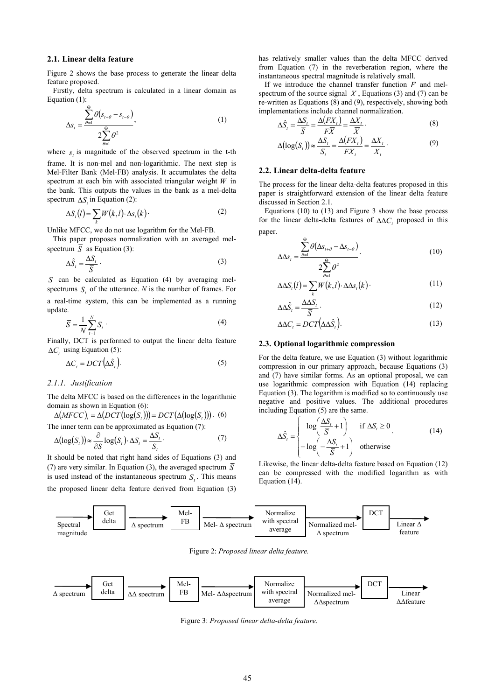### **2.1. Linear delta feature**

Figure 2 shows the base process to generate the linear delta feature proposed.

Firstly, delta spectrum is calculated in a linear domain as Equation (1):

$$
\Delta s_{t} = \frac{\sum_{\theta=1}^{\Theta} \theta(s_{t+\theta} - s_{t-\theta})}{2 \sum_{\theta=1}^{\Theta} \theta^{2}},
$$
\n(1)

where  $s<sub>i</sub>$  is magnitude of the observed spectrum in the t-th frame. It is non-mel and non-logarithmic. The next step is Mel-Filter Bank (Mel-FB) analysis. It accumulates the delta spectrum at each bin with associated triangular weight *W* in the bank. This outputs the values in the bank as a mel-delta spectrum  $\Delta S$ , in Equation (2):

$$
\Delta S_t(l) = \sum_k W(k, l) \cdot \Delta S_t(k) \tag{2}
$$

Unlike MFCC, we do not use logarithm for the Mel-FB.

This paper proposes normalization with an averaged melspectrum  $\overline{S}$  as Equation (3):

$$
\Delta \hat{S}_t = \frac{\Delta S_t}{\overline{S}} \,. \tag{3}
$$

 $\overline{S}$  can be calculated as Equation (4) by averaging melspectrums  $S_{\perp}$  of the utterance.  $N$  is the number of frames. For a real-time system, this can be implemented as a running update.

$$
\overline{S} = \frac{1}{N} \sum_{t=1}^{N} S_t \tag{4}
$$

Finally, DCT is performed to output the linear delta feature  $\Delta C$ , using Equation (5):

$$
\Delta C_t = DCT(\Delta \hat{S}_t). \tag{5}
$$

#### *2.1.1. Justification*

The delta MFCC is based on the differences in the logarithmic domain as shown in Equation (6):

$$
\Delta(MFCC)_t = \Delta(DCT(\log(S_t))) = DCT(\Delta(\log(S_t)))
$$
 (6)  
The inner term can be approximated as Equation (7):

$$
\Delta(\log(S_t)) \approx \frac{\partial}{\partial S} \log(S_t) \cdot \Delta S_t = \frac{\Delta S_t}{S_t} \,. \tag{7}
$$

It should be noted that right hand sides of Equations (3) and (7) are very similar. In Equation (3), the averaged spectrum  $\overline{S}$ is used instead of the instantaneous spectrum  $S<sub>t</sub>$ . This means the proposed linear delta feature derived from Equation (3)

has relatively smaller values than the delta MFCC derived from Equation (7) in the reverberation region, where the instantaneous spectral magnitude is relatively small.

If we introduce the channel transfer function *F* and melspectrum of the source signal  $X$ , Equations (3) and (7) can be re-written as Equations (8) and (9), respectively, showing both implementations include channel normalization.

$$
\Delta \hat{S}_t = \frac{\Delta S_t}{\overline{S}} = \frac{\Delta (FX_t)}{F\overline{X}} = \frac{\Delta X_t}{\overline{X}}.
$$
\n(8)

$$
\Delta(\log(S_t)) \approx \frac{\Delta S_t}{S_t} = \frac{\Delta(FX_t)}{FX_t} = \frac{\Delta X_t}{X_t}.
$$
\n(9)

#### **2.2. Linear delta-delta feature**

The process for the linear delta-delta features proposed in this paper is straightforward extension of the linear delta feature discussed in Section 2.1.

Equations (10) to (13) and Figure 3 show the base process for the linear delta-delta features of ΔΔ*C*, proposed in this paper.

$$
\Delta \Delta s_{t} = \frac{\sum_{\theta=1}^{\Theta} \theta(\Delta s_{t+\theta} - \Delta s_{t-\theta})}{2\sum_{i=1}^{\Theta} \theta^{2}}.
$$
\n(10)

$$
\Delta \Delta S_t(t) = \sum_{k} \mathcal{W}(k, t) \cdot \Delta \Delta s_t(k) \tag{11}
$$

$$
\Delta \Delta \hat{S}_t = \frac{\Delta \Delta S_t}{\overline{S}}.
$$
\n(12)

$$
\Delta \Delta C_t = DCT(\Delta \Delta \hat{S}_t). \tag{13}
$$

#### **2.3. Optional logarithmic compression**

For the delta feature, we use Equation (3) without logarithmic compression in our primary approach, because Equations (3) and (7) have similar forms. As an optional proposal, we can use logarithmic compression with Equation (14) replacing Equation (3). The logarithm is modified so to continuously use negative and positive values. The additional procedures including Equation (5) are the same.

$$
\Delta \hat{S}_t = \begin{cases}\n\log\left(\frac{\Delta S_t}{\overline{S}} + 1\right) & \text{if } \Delta S_t \ge 0 \\
-\log\left(-\frac{\Delta S_t}{\overline{S}} + 1\right) & \text{otherwise}\n\end{cases}
$$
\n(14)

Likewise, the linear delta-delta feature based on Equation (12) can be compressed with the modified logarithm as with Equation (14).



Figure 2: *Proposed linear delta feature.*



Figure 3: *Proposed linear delta-delta feature.*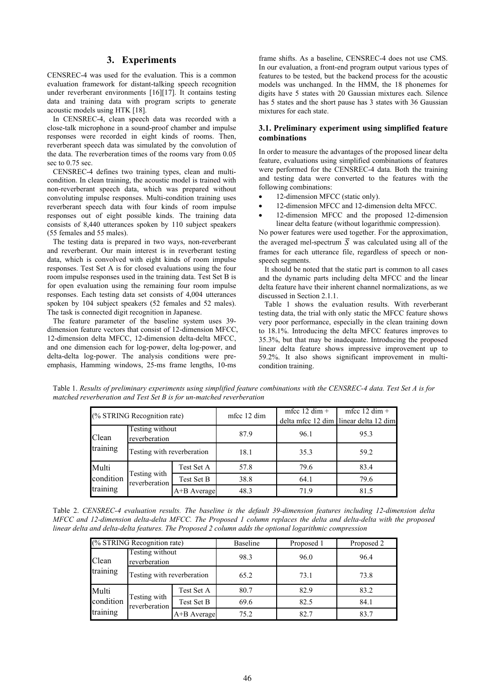# **3. Experiments**

CENSREC-4 was used for the evaluation. This is a common evaluation framework for distant-talking speech recognition under reverberant environments [16][17]. It contains testing data and training data with program scripts to generate acoustic models using HTK [18].

In CENSREC-4, clean speech data was recorded with a close-talk microphone in a sound-proof chamber and impulse responses were recorded in eight kinds of rooms. Then, reverberant speech data was simulated by the convolution of the data. The reverberation times of the rooms vary from 0.05 sec to 0.75 sec.

CENSREC-4 defines two training types, clean and multicondition. In clean training, the acoustic model is trained with non-reverberant speech data, which was prepared without convoluting impulse responses. Multi-condition training uses reverberant speech data with four kinds of room impulse responses out of eight possible kinds. The training data consists of 8,440 utterances spoken by 110 subject speakers (55 females and 55 males).

The testing data is prepared in two ways, non-reverberant and reverberant. Our main interest is in reverberant testing data, which is convolved with eight kinds of room impulse responses. Test Set A is for closed evaluations using the four room impulse responses used in the training data. Test Set B is for open evaluation using the remaining four room impulse responses. Each testing data set consists of 4,004 utterances spoken by 104 subject speakers (52 females and 52 males). The task is connected digit recognition in Japanese.

The feature parameter of the baseline system uses 39 dimension feature vectors that consist of 12-dimension MFCC, 12-dimension delta MFCC, 12-dimension delta-delta MFCC, and one dimension each for log-power, delta log-power, and delta-delta log-power. The analysis conditions were preemphasis, Hamming windows, 25-ms frame lengths, 10-ms

frame shifts. As a baseline, CENSREC-4 does not use CMS. In our evaluation, a front-end program output various types of features to be tested, but the backend process for the acoustic models was unchanged. In the HMM, the 18 phonemes for digits have 5 states with 20 Gaussian mixtures each. Silence has 5 states and the short pause has 3 states with 36 Gaussian mixtures for each state.

### **3.1. Preliminary experiment using simplified feature combinations**

In order to measure the advantages of the proposed linear delta feature, evaluations using simplified combinations of features were performed for the CENSREC-4 data. Both the training and testing data were converted to the features with the following combinations:

- 12-dimension MFCC (static only).
- 12-dimension MFCC and 12-dimension delta MFCC.
- 12-dimension MFCC and the proposed 12-dimension linear delta feature (without logarithmic compression).

No power features were used together. For the approximation, the averaged mel-spectrum  $\overline{S}$  was calculated using all of the frames for each utterance file, regardless of speech or nonspeech segments.

It should be noted that the static part is common to all cases and the dynamic parts including delta MFCC and the linear delta feature have their inherent channel normalizations, as we discussed in Section 2.1.1.

Table 1 shows the evaluation results. With reverberant testing data, the trial with only static the MFCC feature shows very poor performance, especially in the clean training down to 18.1%. Introducing the delta MFCC features improves to 35.3%, but that may be inadequate. Introducing the proposed linear delta feature shows impressive improvement up to 59.2%. It also shows significant improvement in multicondition training.

Table 1. *Results of preliminary experiments using simplified feature combinations with the CENSREC-4 data. Test Set A is for matched reverberation and Test Set B is for un-matched reverberation* 

| (% STRING Recognition rate)    |                                  |             | mfcc 12 dim | mfcc $12 \dim +$ | mfcc $12 \dim +$<br>delta mfcc 12 dim linear delta 12 dim |
|--------------------------------|----------------------------------|-------------|-------------|------------------|-----------------------------------------------------------|
| Clean<br>training              | Testing without<br>reverberation |             | 87.9        | 96.1             | 95.3                                                      |
|                                | Testing with reverberation       |             | 18.1        | 35.3             | 59.2                                                      |
| Multi<br>condition<br>training | Testing with<br>reverberation    | Test Set A  | 57.8        | 79.6             | 83.4                                                      |
|                                |                                  | Test Set B  | 38.8        | 64.1             | 79.6                                                      |
|                                |                                  | A+B Average | 48.3        | 71.9             | 81.5                                                      |

Table 2. *CENSREC-4 evaluation results. The baseline is the default 39-dimension features including 12-dimension delta MFCC and 12-dimension delta-delta MFCC. The Proposed 1 column replaces the delta and delta-delta with the proposed linear delta and delta-delta features. The Proposed 2 column adds the optional logarithmic compression*

| (% STRING Recognition rate)    |                                  |             | <b>Baseline</b> | Proposed 1 | Proposed 2 |
|--------------------------------|----------------------------------|-------------|-----------------|------------|------------|
| Clean<br>training              | Testing without<br>reverberation |             | 98.3            | 96.0       | 96.4       |
|                                | Testing with reverberation       |             | 65.2            | 73.1       | 73.8       |
| Multi<br>condition<br>training | Testing with<br>reverberation    | Test Set A  | 80.7            | 82.9       | 83.2       |
|                                |                                  | Test Set B  | 69.6            | 82.5       | 84.1       |
|                                |                                  | A+B Average | 75.2            | 82.7       | 83.7       |